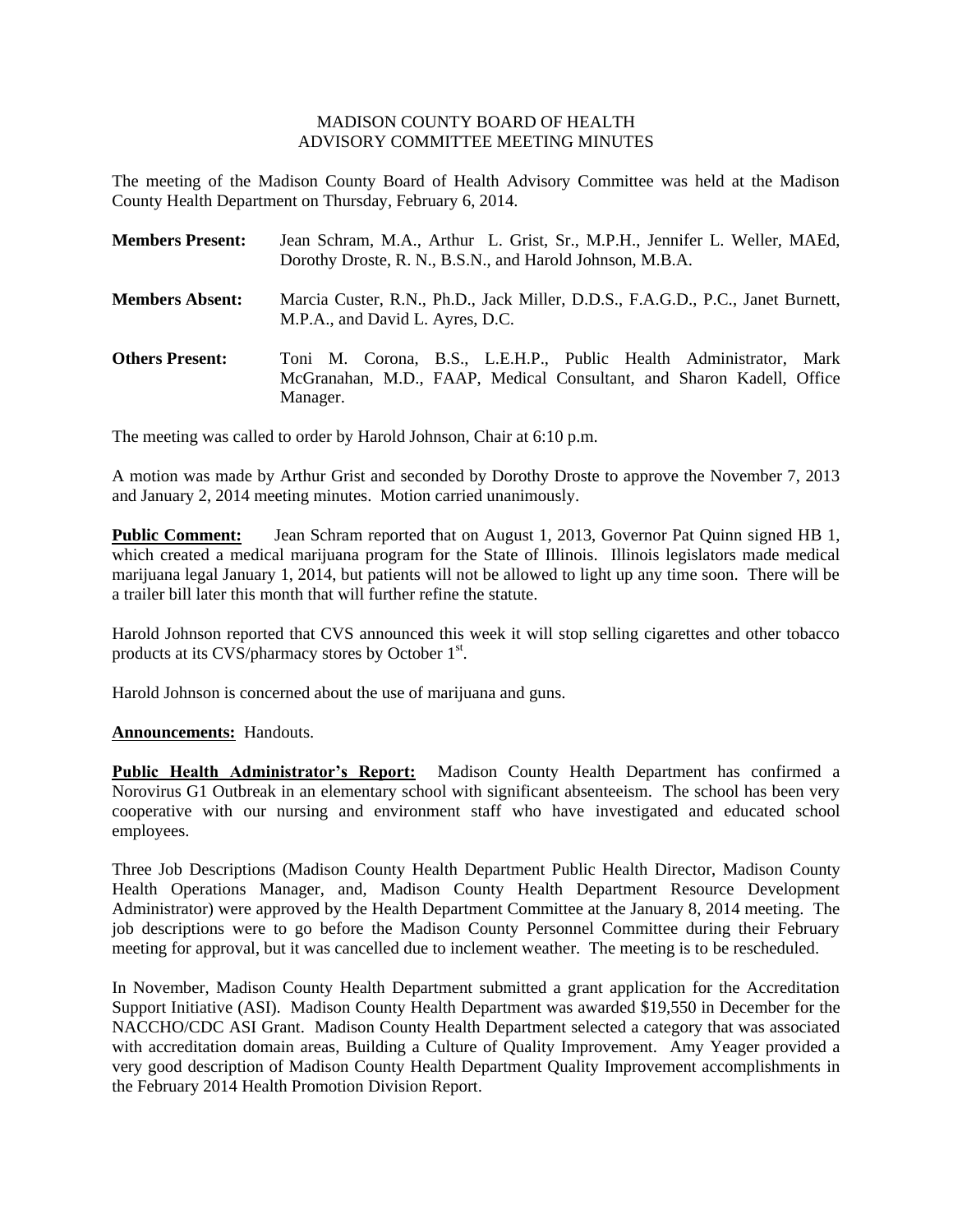## MADISON COUNTY BOARD OF HEALTH ADVISORY COMMITTEE MEETING MINUTES

The meeting of the Madison County Board of Health Advisory Committee was held at the Madison County Health Department on Thursday, February 6, 2014.

| <b>Members Present:</b> | Jean Schram, M.A., Arthur L. Grist, Sr., M.P.H., Jennifer L. Weller, MAEd,<br>Dorothy Droste, R. N., B.S.N., and Harold Johnson, M.B.A.                   |
|-------------------------|-----------------------------------------------------------------------------------------------------------------------------------------------------------|
| <b>Members Absent:</b>  | Marcia Custer, R.N., Ph.D., Jack Miller, D.D.S., F.A.G.D., P.C., Janet Burnett,<br>M.P.A., and David L. Ayres, D.C.                                       |
| <b>Others Present:</b>  | Toni M. Corona, B.S., L.E.H.P., Public Health Administrator,<br>Mark<br>McGranahan, M.D., FAAP, Medical Consultant, and Sharon Kadell, Office<br>Manager. |

The meeting was called to order by Harold Johnson, Chair at 6:10 p.m.

A motion was made by Arthur Grist and seconded by Dorothy Droste to approve the November 7, 2013 and January 2, 2014 meeting minutes. Motion carried unanimously.

**Public Comment:** Jean Schram reported that on August 1, 2013, Governor Pat Quinn signed HB 1, which created a medical marijuana program for the State of Illinois. Illinois legislators made medical marijuana legal January 1, 2014, but patients will not be allowed to light up any time soon. There will be a trailer bill later this month that will further refine the statute.

Harold Johnson reported that CVS announced this week it will stop selling cigarettes and other tobacco products at its  $CVS/pharmacy$  stores by October  $1<sup>st</sup>$ .

Harold Johnson is concerned about the use of marijuana and guns.

## **Announcements:** Handouts.

**Public Health Administrator's Report:** Madison County Health Department has confirmed a Norovirus G1 Outbreak in an elementary school with significant absenteeism. The school has been very cooperative with our nursing and environment staff who have investigated and educated school employees.

Three Job Descriptions (Madison County Health Department Public Health Director, Madison County Health Operations Manager, and, Madison County Health Department Resource Development Administrator) were approved by the Health Department Committee at the January 8, 2014 meeting. The job descriptions were to go before the Madison County Personnel Committee during their February meeting for approval, but it was cancelled due to inclement weather. The meeting is to be rescheduled.

In November, Madison County Health Department submitted a grant application for the Accreditation Support Initiative (ASI). Madison County Health Department was awarded \$19,550 in December for the NACCHO/CDC ASI Grant. Madison County Health Department selected a category that was associated with accreditation domain areas, Building a Culture of Quality Improvement. Amy Yeager provided a very good description of Madison County Health Department Quality Improvement accomplishments in the February 2014 Health Promotion Division Report.